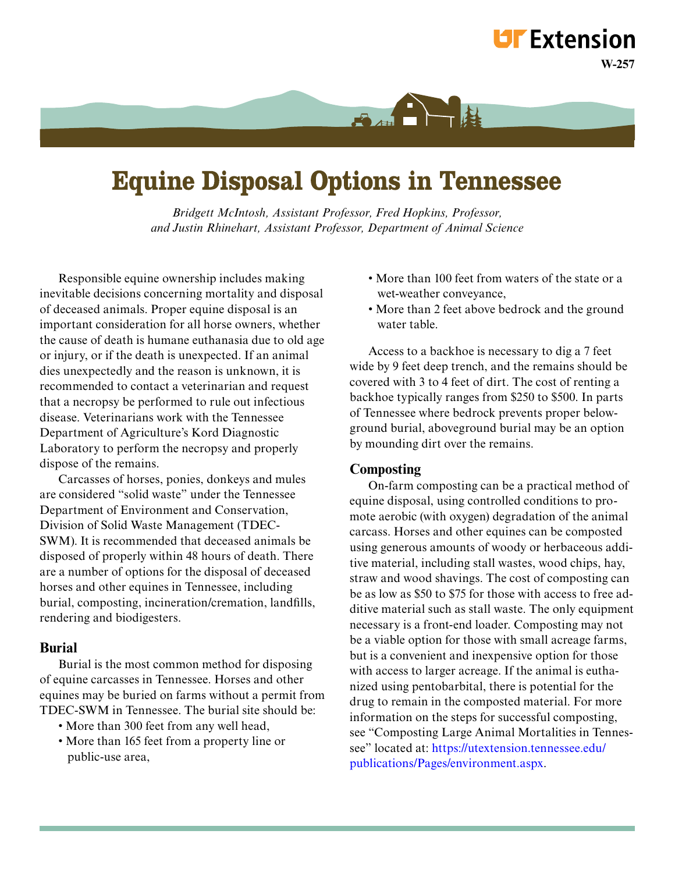# **Equine Disposal Options in Tennessee**

 $A$ 

*Bridgett McIntosh, Assistant Professor, Fred Hopkins, Professor, and Justin Rhinehart, Assistant Professor, Department of Animal Science*

 Responsible equine ownership includes making inevitable decisions concerning mortality and disposal of deceased animals. Proper equine disposal is an important consideration for all horse owners, whether the cause of death is humane euthanasia due to old age or injury, or if the death is unexpected. If an animal dies unexpectedly and the reason is unknown, it is recommended to contact a veterinarian and request that a necropsy be performed to rule out infectious disease. Veterinarians work with the Tennessee Department of Agriculture's Kord Diagnostic Laboratory to perform the necropsy and properly dispose of the remains.

 Carcasses of horses, ponies, donkeys and mules are considered "solid waste" under the Tennessee Department of Environment and Conservation, Division of Solid Waste Management (TDEC-SWM). It is recommended that deceased animals be disposed of properly within 48 hours of death. There are a number of options for the disposal of deceased horses and other equines in Tennessee, including burial, composting, incineration/cremation, landfills, rendering and biodigesters.

#### **Burial**

Burial is the most common method for disposing of equine carcasses in Tennessee. Horses and other equines may be buried on farms without a permit from TDEC-SWM in Tennessee. The burial site should be:

- More than 300 feet from any well head,
- More than 165 feet from a property line or public-use area,
- More than 100 feet from waters of the state or a wet-weather conveyance,
- More than 2 feet above bedrock and the ground water table.

 Access to a backhoe is necessary to dig a 7 feet wide by 9 feet deep trench, and the remains should be covered with 3 to 4 feet of dirt. The cost of renting a backhoe typically ranges from \$250 to \$500. In parts of Tennessee where bedrock prevents proper belowground burial, aboveground burial may be an option by mounding dirt over the remains.

#### **Composting**

On-farm composting can be a practical method of equine disposal, using controlled conditions to promote aerobic (with oxygen) degradation of the animal carcass. Horses and other equines can be composted using generous amounts of woody or herbaceous additive material, including stall wastes, wood chips, hay, straw and wood shavings. The cost of composting can be as low as \$50 to \$75 for those with access to free additive material such as stall waste. The only equipment necessary is a front-end loader. Composting may not be a viable option for those with small acreage farms, but is a convenient and inexpensive option for those with access to larger acreage. If the animal is euthanized using pentobarbital, there is potential for the drug to remain in the composted material. For more information on the steps for successful composting, see "Composting Large Animal Mortalities in Tennessee" located at: https://utextension.tennessee.edu/ [publications/Pages/environment.aspx.](https://utextension.tennessee.edu/publications/Pages/environment.aspx)

**W-257**

**LIF** Extension